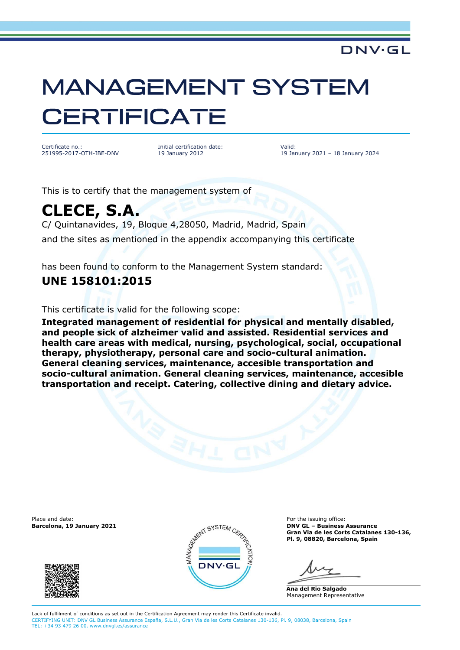# **MANAGEMENT SYSTEM CERTIFICATE**

Certificate no.: 251995-2017-OTH-IBE-DNV Initial certification date: 19 January 2012

Valid: 19 January 2021 – 18 January 2024

**DNV·GL** 

This is to certify that the management system of

# **CLECE, S.A.**

C/ Quintanavides, 19, Bloque 4,28050, Madrid, Madrid, Spain and the sites as mentioned in the appendix accompanying this certificate

has been found to conform to the Management System standard:

### **UNE 158101:2015**

This certificate is valid for the following scope:

**Integrated management of residential for physical and mentally disabled, and people sick of alzheimer valid and assisted. Residential services and health care areas with medical, nursing, psychological, social, occupational therapy, physiotherapy, personal care and socio-cultural animation. General cleaning services, maintenance, accesible transportation and socio-cultural animation. General cleaning services, maintenance, accesible transportation and receipt. Catering, collective dining and dietary advice.**





**Barcelona, 19 January 2021 DNV GL – Business Assurance Gran Via de les Corts Catalanes 130-136, Pl. 9, 08820, Barcelona, Spain**

**Ana del Rio Salgado** Management Representative

Lack of fulfilment of conditions as set out in the Certification Agreement may render this Certificate invalid. CERTIFYING UNIT: DNV GL Business Assurance España, S.L.U., Gran Via de les Corts Catalanes 130-136, Pl. 9, 08038, Barcelona, Spain TEL: +34 93 479 26 00. www.dnvgl.es/assurance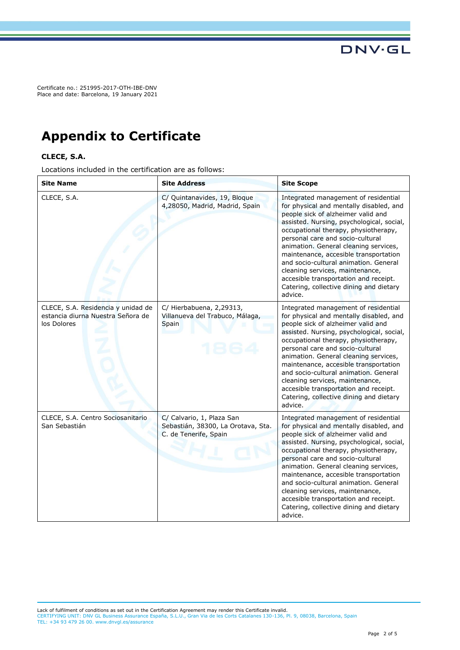Certificate no.: 251995-2017-OTH-IBE-DNV Place and date: Barcelona, 19 January 2021

## **Appendix to Certificate**

#### **CLECE, S.A.**

Locations included in the certification are as follows:

| <b>Site Name</b>                                                                       | <b>Site Address</b>                                                                      | <b>Site Scope</b>                                                                                                                                                                                                                                                                                                                                                                                                                                                                                           |
|----------------------------------------------------------------------------------------|------------------------------------------------------------------------------------------|-------------------------------------------------------------------------------------------------------------------------------------------------------------------------------------------------------------------------------------------------------------------------------------------------------------------------------------------------------------------------------------------------------------------------------------------------------------------------------------------------------------|
| CLECE, S.A.                                                                            | C/ Quintanavides, 19, Bloque<br>4,28050, Madrid, Madrid, Spain                           | Integrated management of residential<br>for physical and mentally disabled, and<br>people sick of alzheimer valid and<br>assisted. Nursing, psychological, social,<br>occupational therapy, physiotherapy,<br>personal care and socio-cultural<br>animation. General cleaning services,<br>maintenance, accesible transportation<br>and socio-cultural animation. General<br>cleaning services, maintenance,<br>accesible transportation and receipt.<br>Catering, collective dining and dietary<br>advice. |
| CLECE, S.A. Residencia y unidad de<br>estancia diurna Nuestra Señora de<br>los Dolores | C/ Hierbabuena, 2,29313,<br>Villanueva del Trabuco, Málaga,<br>Spain                     | Integrated management of residential<br>for physical and mentally disabled, and<br>people sick of alzheimer valid and<br>assisted. Nursing, psychological, social,<br>occupational therapy, physiotherapy,<br>personal care and socio-cultural<br>animation. General cleaning services,<br>maintenance, accesible transportation<br>and socio-cultural animation. General<br>cleaning services, maintenance,<br>accesible transportation and receipt.<br>Catering, collective dining and dietary<br>advice. |
| CLECE, S.A. Centro Sociosanitario<br>San Sebastián                                     | C/ Calvario, 1, Plaza San<br>Sebastián, 38300, La Orotava, Sta.<br>C. de Tenerife, Spain | Integrated management of residential<br>for physical and mentally disabled, and<br>people sick of alzheimer valid and<br>assisted. Nursing, psychological, social,<br>occupational therapy, physiotherapy,<br>personal care and socio-cultural<br>animation. General cleaning services,<br>maintenance, accesible transportation<br>and socio-cultural animation. General<br>cleaning services, maintenance,<br>accesible transportation and receipt.<br>Catering, collective dining and dietary<br>advice. |

**DNV·GL**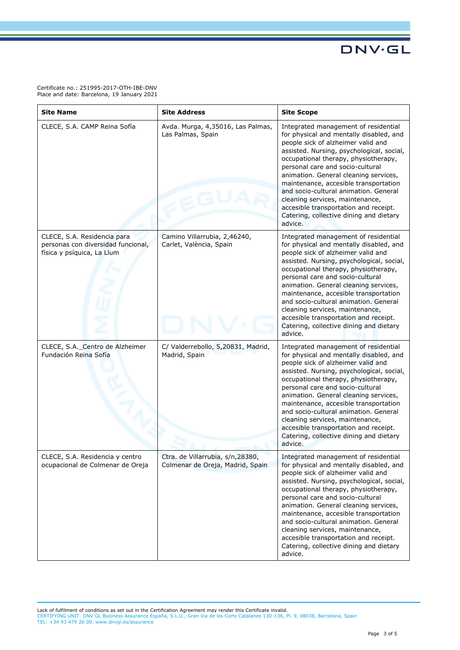**DNV·GL** 

Certificate no.: 251995-2017-OTH-IBE-DNV Place and date: Barcelona, 19 January 2021

| <b>Site Name</b>                                                                                | <b>Site Address</b>                                                  | <b>Site Scope</b>                                                                                                                                                                                                                                                                                                                                                                                                                                                                                           |
|-------------------------------------------------------------------------------------------------|----------------------------------------------------------------------|-------------------------------------------------------------------------------------------------------------------------------------------------------------------------------------------------------------------------------------------------------------------------------------------------------------------------------------------------------------------------------------------------------------------------------------------------------------------------------------------------------------|
| CLECE, S.A. CAMP Reina Sofía                                                                    | Avda. Murga, 4,35016, Las Palmas,<br>Las Palmas, Spain               | Integrated management of residential<br>for physical and mentally disabled, and<br>people sick of alzheimer valid and<br>assisted. Nursing, psychological, social,<br>occupational therapy, physiotherapy,<br>personal care and socio-cultural<br>animation. General cleaning services,<br>maintenance, accesible transportation<br>and socio-cultural animation. General<br>cleaning services, maintenance,<br>accesible transportation and receipt.<br>Catering, collective dining and dietary<br>advice. |
| CLECE, S.A. Residencia para<br>personas con diversidad funcional,<br>física y psíquica, La Llum | Camino Villarrubia, 2,46240,<br>Carlet, València, Spain              | Integrated management of residential<br>for physical and mentally disabled, and<br>people sick of alzheimer valid and<br>assisted. Nursing, psychological, social,<br>occupational therapy, physiotherapy,<br>personal care and socio-cultural<br>animation. General cleaning services,<br>maintenance, accesible transportation<br>and socio-cultural animation. General<br>cleaning services, maintenance,<br>accesible transportation and receipt.<br>Catering, collective dining and dietary<br>advice. |
| CLECE, S.A._Centro de Alzheimer<br>Fundación Reina Sofía                                        | C/ Valderrebollo, 5,20831, Madrid,<br>Madrid, Spain                  | Integrated management of residential<br>for physical and mentally disabled, and<br>people sick of alzheimer valid and<br>assisted. Nursing, psychological, social,<br>occupational therapy, physiotherapy,<br>personal care and socio-cultural<br>animation. General cleaning services,<br>maintenance, accesible transportation<br>and socio-cultural animation. General<br>cleaning services, maintenance,<br>accesible transportation and receipt.<br>Catering, collective dining and dietary<br>advice. |
| CLECE, S.A. Residencia y centro<br>ocupacional de Colmenar de Oreja                             | Ctra. de Villarrubia, s/n,28380,<br>Colmenar de Oreja, Madrid, Spain | Integrated management of residential<br>for physical and mentally disabled, and<br>people sick of alzheimer valid and<br>assisted. Nursing, psychological, social,<br>occupational therapy, physiotherapy,<br>personal care and socio-cultural<br>animation. General cleaning services,<br>maintenance, accesible transportation<br>and socio-cultural animation. General<br>cleaning services, maintenance,<br>accesible transportation and receipt.<br>Catering, collective dining and dietary<br>advice. |

Lack of fulfilment of conditions as set out in the Certification Agreement may render this Certificate invalid.<br>CERTIFYING UNIT: DNV GL Business Assurance España, S.L.U., Gran Via de les Corts Catalanes 130-136, Pl. 9, 080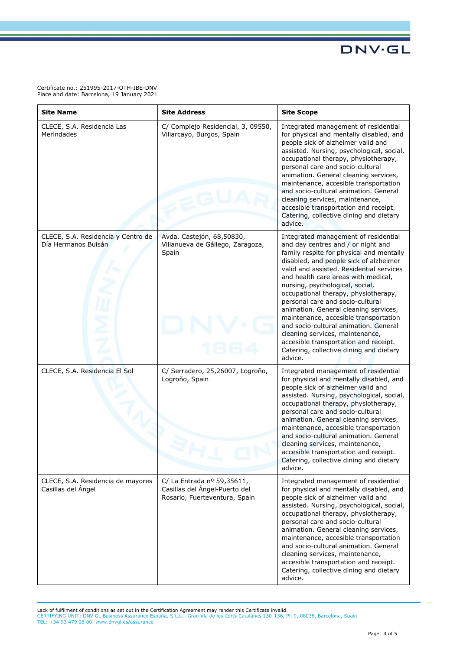**DNV·GL** 

Certificate no.: 251995-2017-OTH-IBE-DNV Place and date: Barcelona, 19 January 2021

| <b>Site Name</b>                                          | <b>Site Address</b>                                                                          | <b>Site Scope</b>                                                                                                                                                                                                                                                                                                                                                                                                                                                                                                                                                                                                               |
|-----------------------------------------------------------|----------------------------------------------------------------------------------------------|---------------------------------------------------------------------------------------------------------------------------------------------------------------------------------------------------------------------------------------------------------------------------------------------------------------------------------------------------------------------------------------------------------------------------------------------------------------------------------------------------------------------------------------------------------------------------------------------------------------------------------|
| CLECE, S.A. Residencia Las<br>Merindades                  | C/ Complejo Residencial, 3, 09550,<br>Villarcayo, Burgos, Spain                              | Integrated management of residential<br>for physical and mentally disabled, and<br>people sick of alzheimer valid and<br>assisted. Nursing, psychological, social,<br>occupational therapy, physiotherapy,<br>personal care and socio-cultural<br>animation. General cleaning services,<br>maintenance, accesible transportation<br>and socio-cultural animation. General<br>cleaning services, maintenance,<br>accesible transportation and receipt.<br>Catering, collective dining and dietary<br>advice.                                                                                                                     |
| CLECE, S.A. Residencia y Centro de<br>Día Hermanos Buisán | Avda. Castejón, 68,50830,<br>Villanueva de Gállego, Zaragoza,<br>Spain                       | Integrated management of residential<br>and day centres and / or night and<br>family respite for physical and mentally<br>disabled, and people sick of alzheimer<br>valid and assisted. Residential services<br>and health care areas with medical,<br>nursing, psychological, social,<br>occupational therapy, physiotherapy,<br>personal care and socio-cultural<br>animation. General cleaning services,<br>maintenance, accesible transportation<br>and socio-cultural animation. General<br>cleaning services, maintenance,<br>accesible transportation and receipt.<br>Catering, collective dining and dietary<br>advice. |
| CLECE, S.A. Residencia El Sol                             | C/ Serradero, 25,26007, Logroño,<br>Logroño, Spain                                           | Integrated management of residential<br>for physical and mentally disabled, and<br>people sick of alzheimer valid and<br>assisted. Nursing, psychological, social,<br>occupational therapy, physiotherapy,<br>personal care and socio-cultural<br>animation. General cleaning services,<br>maintenance, accesible transportation<br>and socio-cultural animation. General<br>cleaning services, maintenance,<br>accesible transportation and receipt.<br>Catering, collective dining and dietary<br>advice.                                                                                                                     |
| CLECE, S.A. Residencia de mayores<br>Casillas del Ángel   | C/ La Entrada nº 59,35611,<br>Casillas del Ángel-Puerto del<br>Rosario, Fuerteventura, Spain | Integrated management of residential<br>for physical and mentally disabled, and<br>people sick of alzheimer valid and<br>assisted. Nursing, psychological, social,<br>occupational therapy, physiotherapy,<br>personal care and socio-cultural<br>animation. General cleaning services,<br>maintenance, accesible transportation<br>and socio-cultural animation. General<br>cleaning services, maintenance,<br>accesible transportation and receipt.<br>Catering, collective dining and dietary<br>advice.                                                                                                                     |

Lack of fulfilment of conditions as set out in the Certification Agreement may render this Certificate invalid.<br>CERTIFYING UNIT: DNV GL Business Assurance España, S.L.U., Gran Via de les Corts Catalanes 130-136, Pl. 9, 080